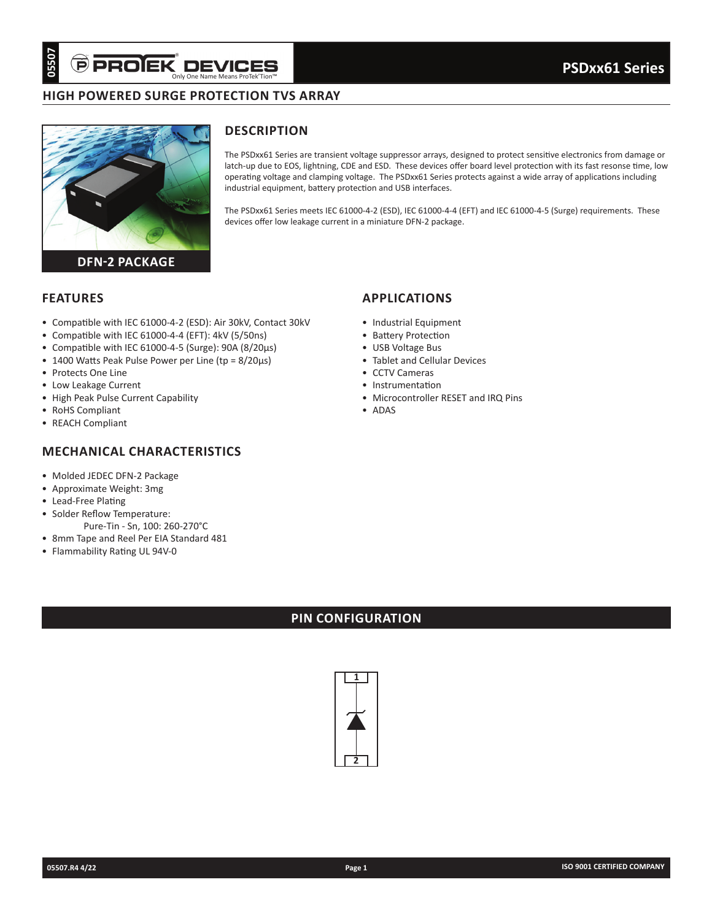# **high powered surge protection tvs array**



# **Description**

The PSDxx61 Series are transient voltage suppressor arrays, designed to protect sensitive electronics from damage or latch-up due to EOS, lightning, CDE and ESD. These devices offer board level protection with its fast resonse time, low operating voltage and clamping voltage. The PSDxx61 Series protects against a wide array of applications including industrial equipment, battery protection and USB interfaces.

The PSDxx61 Series meets IEC 61000-4-2 (ESD), IEC 61000-4-4 (EFT) and IEC 61000-4-5 (Surge) requirements. These devices offer low leakage current in a miniature DFN-2 package.

### **Features**

- • Compatible with IEC 61000-4-2 (ESD): Air 30kV, Contact 30kV
- • Compatible with IEC 61000-4-4 (EFT): 4kV (5/50ns)
- • Compatible with IEC 61000-4-5 (Surge): 90A (8/20µs)
- • 1400 Watts Peak Pulse Power per Line (tp = 8/20µs)
- • Protects One Line
- • Low Leakage Current
- High Peak Pulse Current Capability
- • RoHS Compliant
- REACH Compliant

# **Mechanical characteristics**

- • Molded JEDEC DFN-2 Package
- • Approximate Weight: 3mg
- • Lead-Free Plating
- Solder Reflow Temperature: Pure-Tin - Sn, 100: 260-270°C
- 8mm Tape and Reel Per EIA Standard 481
- Flammability Rating UL 94V-0

# **applications**

- Industrial Equipment
- • Battery Protection
- • USB Voltage Bus
- • Tablet and Cellular Devices
- • CCTV Cameras
- • Instrumentation
- Microcontroller RESET and IRQ Pins
- • ADAS

# **PIN CONFIGURATION**

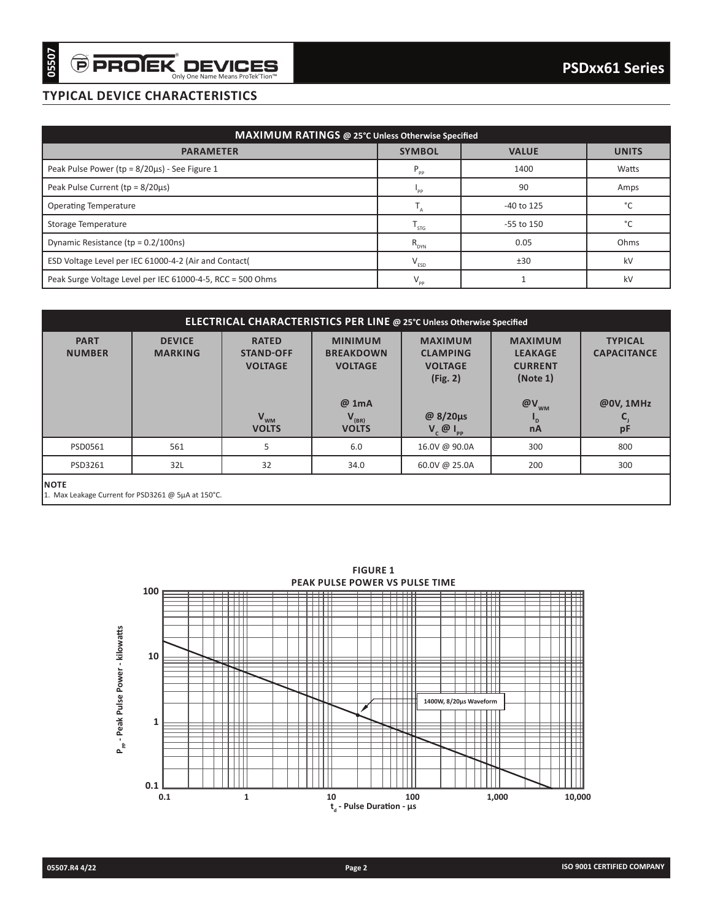# **typical device characteristics**

| <b>MAXIMUM RATINGS @ 25°C Unless Otherwise Specified</b>   |                  |              |              |  |  |  |  |
|------------------------------------------------------------|------------------|--------------|--------------|--|--|--|--|
| <b>PARAMETER</b>                                           | <b>SYMBOL</b>    | <b>VALUE</b> | <b>UNITS</b> |  |  |  |  |
| Peak Pulse Power (tp = 8/20µs) - See Figure 1              | $P_{\rm pp}$     | 1400         | Watts        |  |  |  |  |
| Peak Pulse Current ( $tp = 8/20\mu s$ )                    | PP.              | 90           | Amps         |  |  |  |  |
| <b>Operating Temperature</b>                               |                  | $-40$ to 125 | $\sim$       |  |  |  |  |
| Storage Temperature                                        | $T_{\rm STG}$    | -55 to 150   | $\sim$       |  |  |  |  |
| Dynamic Resistance (tp = 0.2/100ns)                        | $R_{_{\rm DYN}}$ | 0.05         | Ohms         |  |  |  |  |
| ESD Voltage Level per IEC 61000-4-2 (Air and Contact(      | $V_{ESD}$        | ±30          | kV           |  |  |  |  |
| Peak Surge Voltage Level per IEC 61000-4-5, RCC = 500 Ohms | $V_{\text{pp}}$  |              | kV           |  |  |  |  |

| ELECTRICAL CHARACTERISTICS PER LINE @ 25°C Unless Otherwise Specified |                                                                                                                                                                                                                                                                                                                            |                          |                            |                                              |     |     |  |  |  |
|-----------------------------------------------------------------------|----------------------------------------------------------------------------------------------------------------------------------------------------------------------------------------------------------------------------------------------------------------------------------------------------------------------------|--------------------------|----------------------------|----------------------------------------------|-----|-----|--|--|--|
| <b>PART</b><br><b>NUMBER</b>                                          | <b>MAXIMUM</b><br><b>RATED</b><br><b>MINIMUM</b><br><b>MAXIMUM</b><br><b>TYPICAL</b><br><b>DEVICE</b><br><b>MARKING</b><br><b>CLAMPING</b><br><b>CAPACITANCE</b><br><b>STAND-OFF</b><br><b>BREAKDOWN</b><br><b>LEAKAGE</b><br><b>VOLTAGE</b><br><b>VOLTAGE</b><br><b>VOLTAGE</b><br><b>CURRENT</b><br>(Note 1)<br>(Fig. 2) |                          |                            |                                              |     |     |  |  |  |
|                                                                       | $@V_{_{\rm WM}}$<br>@0V, 1MHz<br>@ 1mA                                                                                                                                                                                                                                                                                     |                          |                            |                                              |     |     |  |  |  |
|                                                                       |                                                                                                                                                                                                                                                                                                                            | $V_{WM}$<br><b>VOLTS</b> | $V_{(BR)}$<br><b>VOLTS</b> | @ 8/20μs<br>$V_{c}$ $\omega$ $I_{\text{pp}}$ | nA  | pF  |  |  |  |
| PSD0561                                                               | 561                                                                                                                                                                                                                                                                                                                        | 5                        | 6.0                        | 16.0V @ 90.0A                                | 300 | 800 |  |  |  |
| PSD3261                                                               | 32L                                                                                                                                                                                                                                                                                                                        | 32                       | 34.0                       | 60.0V @ 25.0A                                | 200 | 300 |  |  |  |
| <b>INOTE</b><br>1. Max Leakage Current for PSD3261 @ 5µA at 150°C.    |                                                                                                                                                                                                                                                                                                                            |                          |                            |                                              |     |     |  |  |  |

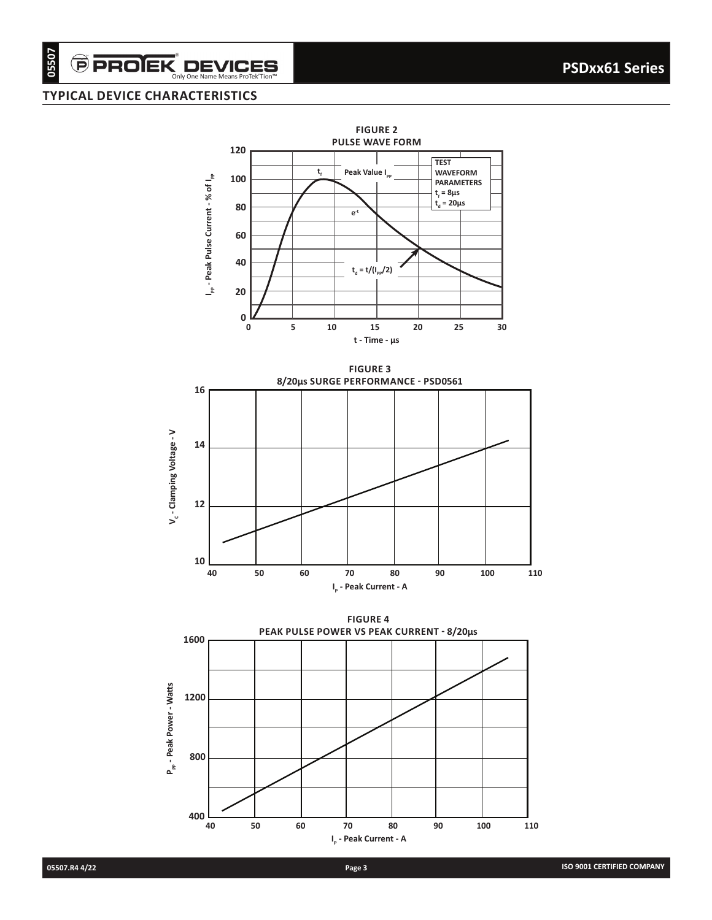Only One Name Means ProTek'Tion™

## **typical device characteristics**

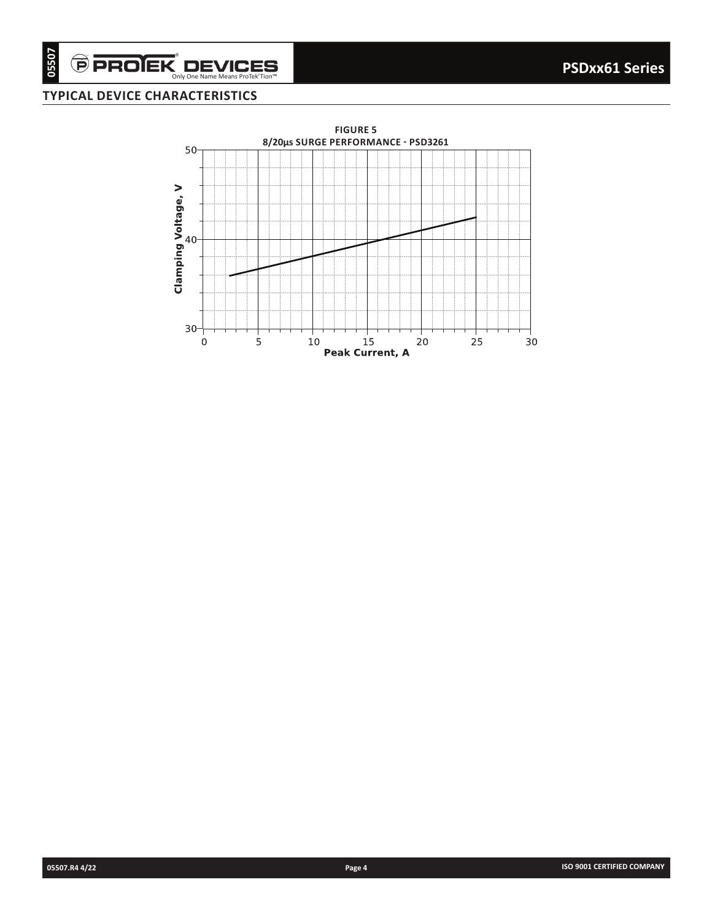$\Theta$  **PROIEK DEVICES** 

## **typical device characteristics**

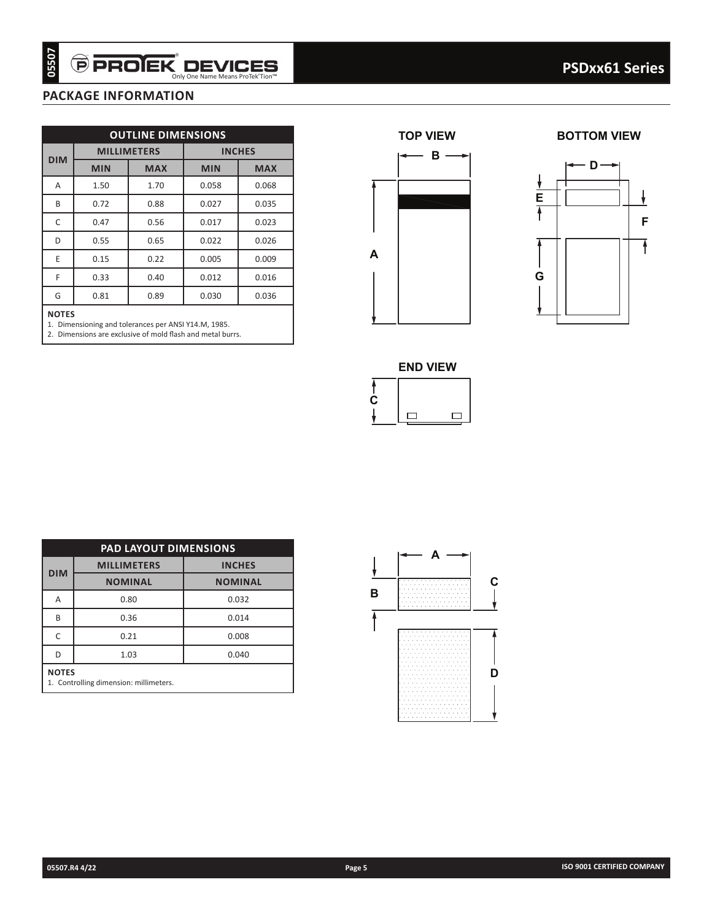## **package information**

|                                                |                                                | <b>OUTLINE DIMENSIONS</b> |            |                             |
|------------------------------------------------|------------------------------------------------|---------------------------|------------|-----------------------------|
| <b>DIM</b>                                     | <b>MILLIMETERS</b><br><b>MIN</b>               | <b>MAX</b>                | <b>MIN</b> | <b>INCHES</b><br><b>MAX</b> |
| A                                              | 1.50                                           | 1.70                      | 0.058      | 0.068                       |
| В                                              | 0.72                                           | 0.88                      | 0.027      | 0.035                       |
| C                                              | 0.47                                           | 0.56                      | 0.017      | 0.023                       |
| D                                              | 0.55                                           | 0.65                      | 0.022      | 0.026                       |
| E                                              | 0.15                                           | 0.22                      | 0.005      | 0.009                       |
|                                                | 0.33                                           | 0.40                      | 0.012      | 0.016                       |
| G                                              | 0.81                                           | 0.89                      | 0.030      | 0.036                       |
|                                                |                                                |                           |            |                             |
|                                                |                                                |                           |            |                             |
|                                                |                                                | PAD LAYOUT DIMENSIONS     |            |                             |
|                                                | <b>MILLIMETERS</b>                             |                           |            | <b>INCHES</b>               |
|                                                | <b>NOMINAL</b>                                 |                           |            | <b>NOMINAL</b>              |
|                                                | 0.80                                           |                           |            | 0.032                       |
|                                                | 0.36                                           |                           |            | 0.014                       |
|                                                | 0.21                                           |                           |            | 0.008                       |
| <b>DIM</b><br>Α<br>B<br>C<br>D<br><b>NOTES</b> | 1.03<br>1. Controlling dimension: millimeters. |                           |            | 0.040                       |

#### **NOTEs**







| <b>PAD LAYOUT DIMENSIONS</b>                           |                    |                |  |  |  |
|--------------------------------------------------------|--------------------|----------------|--|--|--|
| <b>DIM</b>                                             | <b>MILLIMETERS</b> | <b>INCHES</b>  |  |  |  |
|                                                        | <b>NOMINAL</b>     | <b>NOMINAL</b> |  |  |  |
| A                                                      | 0.80               | 0.032          |  |  |  |
| B                                                      | 0.36               | 0.014          |  |  |  |
| C                                                      | 0.21               | 0.008          |  |  |  |
| D                                                      | 1.03               | 0.040          |  |  |  |
| <b>NOTES</b><br>1. Controlling dimension: millimeters. |                    |                |  |  |  |

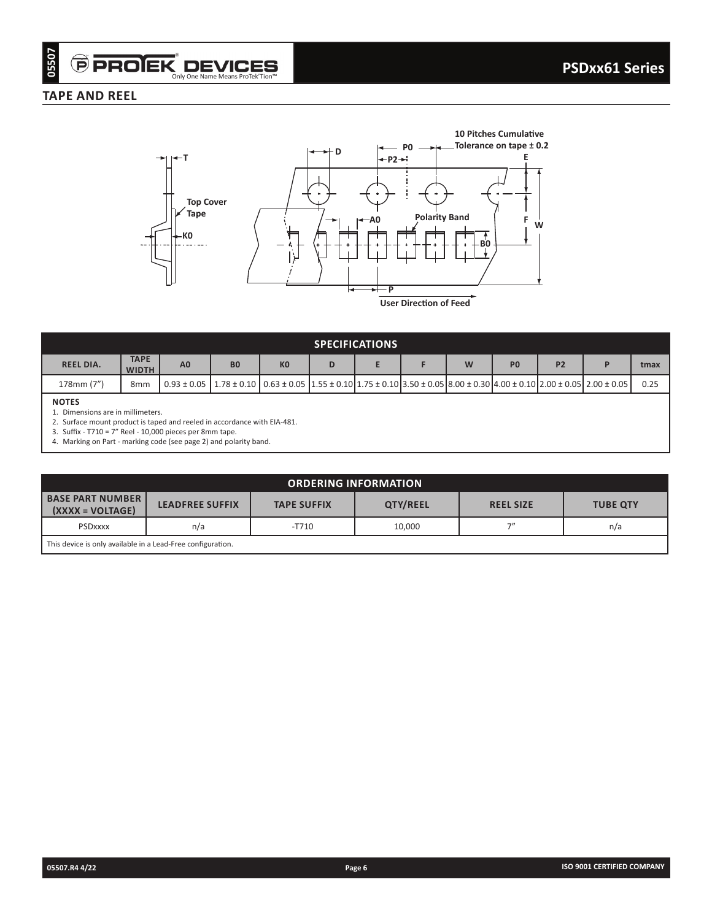## **TAPE AND REEL**



| <b>SPECIFICATIONS</b>                                          |                             |                |                                                                                                                                                                                   |                |   |  |  |                |                |  |      |
|----------------------------------------------------------------|-----------------------------|----------------|-----------------------------------------------------------------------------------------------------------------------------------------------------------------------------------|----------------|---|--|--|----------------|----------------|--|------|
| <b>REEL DIA.</b>                                               | <b>TAPE</b><br><b>WIDTH</b> | A <sub>0</sub> | B <sub>0</sub>                                                                                                                                                                    | K <sub>0</sub> | D |  |  | P <sub>0</sub> | P <sub>2</sub> |  | tmax |
| 178mm (7")                                                     | 8 <sub>mm</sub>             |                | $0.93 \pm 0.05$   1.78 $\pm$ 0.10   0.63 $\pm$ 0.05   1.55 $\pm$ 0.10   1.75 $\pm$ 0.10   3.50 $\pm$ 0.05   8.00 $\pm$ 0.30   4.00 $\pm$ 0.10   2.00 $\pm$ 0.05   2.00 $\pm$ 0.05 |                |   |  |  |                |                |  | 0.25 |
| <b>NOTES</b><br>. Dimensions are in millimeters.<br>- - -<br>. |                             |                |                                                                                                                                                                                   |                |   |  |  |                |                |  |      |

2. Surface mount product is taped and reeled in accordance with EIA-481.

3. Suffix - T710 = 7" Reel - 10,000 pieces per 8mm tape.

4. Marking on Part - marking code (see page 2) and polarity band.

| <b>ORDERING INFORMATION</b>                                                                                                                             |     |         |        |    |     |  |
|---------------------------------------------------------------------------------------------------------------------------------------------------------|-----|---------|--------|----|-----|--|
| <b>BASE PART NUMBER</b><br><b>QTY/REEL</b><br><b>LEADFREE SUFFIX</b><br><b>TAPE SUFFIX</b><br><b>REEL SIZE</b><br><b>TUBE QTY</b><br>$(XXXX = VOLTAGE)$ |     |         |        |    |     |  |
| <b>PSDxxxx</b>                                                                                                                                          | n/a | $-7710$ | 10.000 | フ" | n/a |  |
| This device is only available in a Lead-Free configuration.                                                                                             |     |         |        |    |     |  |